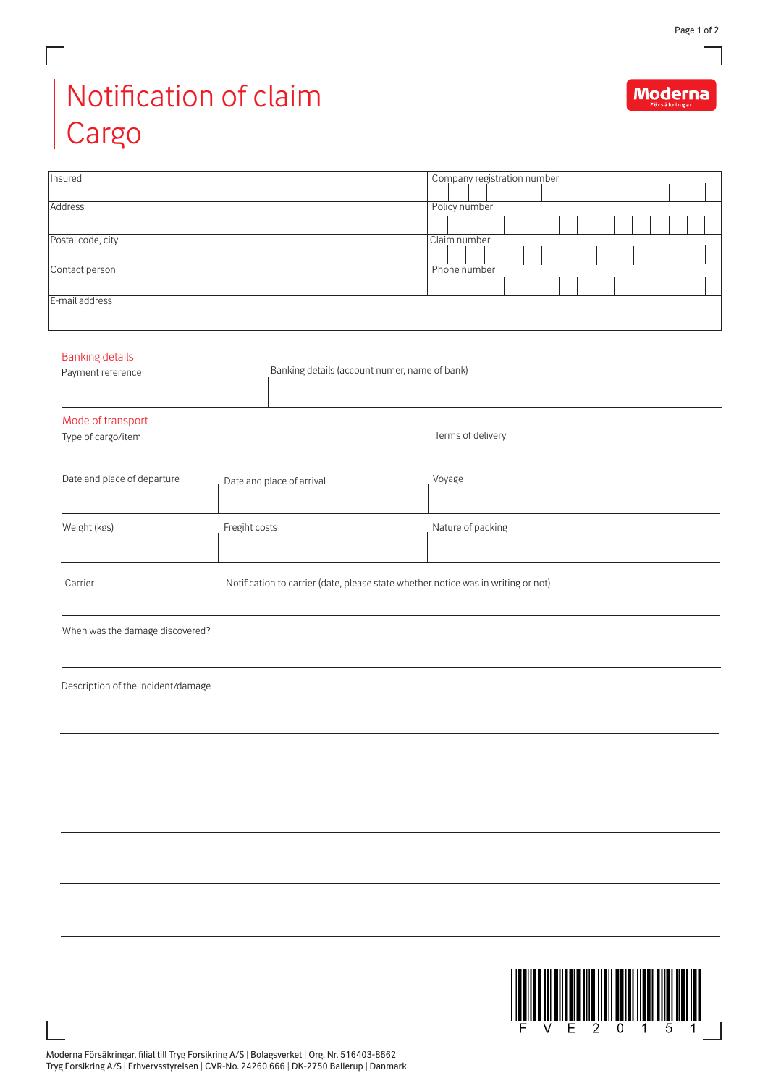Moderna

## Notification of claim Cargo

 $\Box$ 

| Insured                            |                                                                                   | Company registration number |  |
|------------------------------------|-----------------------------------------------------------------------------------|-----------------------------|--|
| Address                            |                                                                                   | Policy number               |  |
|                                    |                                                                                   |                             |  |
| Postal code, city                  |                                                                                   | Claim number                |  |
|                                    |                                                                                   |                             |  |
| Contact person                     |                                                                                   | Phone number                |  |
| E-mail address                     |                                                                                   |                             |  |
|                                    |                                                                                   |                             |  |
|                                    |                                                                                   |                             |  |
| <b>Banking details</b>             |                                                                                   |                             |  |
| Payment reference                  | Banking details (account numer, name of bank)                                     |                             |  |
|                                    |                                                                                   |                             |  |
| Mode of transport                  |                                                                                   |                             |  |
| Type of cargo/item                 |                                                                                   | Terms of delivery           |  |
|                                    |                                                                                   |                             |  |
| Date and place of departure        |                                                                                   |                             |  |
|                                    | Date and place of arrival                                                         | Voyage                      |  |
|                                    |                                                                                   |                             |  |
| Weight (kgs)                       | Fregiht costs                                                                     | Nature of packing           |  |
|                                    |                                                                                   |                             |  |
|                                    |                                                                                   |                             |  |
| Carrier                            | Notification to carrier (date, please state whether notice was in writing or not) |                             |  |
|                                    |                                                                                   |                             |  |
| When was the damage discovered?    |                                                                                   |                             |  |
|                                    |                                                                                   |                             |  |
|                                    |                                                                                   |                             |  |
| Description of the incident/damage |                                                                                   |                             |  |
|                                    |                                                                                   |                             |  |
|                                    |                                                                                   |                             |  |
|                                    |                                                                                   |                             |  |
|                                    |                                                                                   |                             |  |
|                                    |                                                                                   |                             |  |
|                                    |                                                                                   |                             |  |
|                                    |                                                                                   |                             |  |